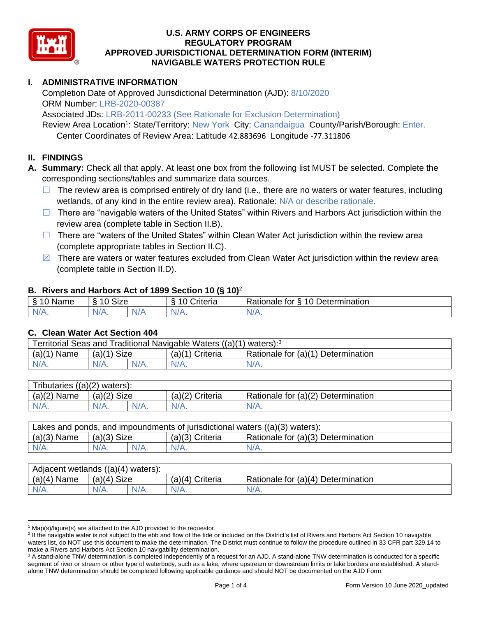

# **I. ADMINISTRATIVE INFORMATION**

Completion Date of Approved Jurisdictional Determination (AJD): 8/10/2020 ORM Number: LRB-2020-00387

Associated JDs: LRB-2011-00233 (See Rationale for Exclusion Determination)

Review Area Location<sup>1</sup>: State/Territory: New York City: Canandaigua County/Parish/Borough: Enter.

Center Coordinates of Review Area: Latitude 42.883696 Longitude -77.311806

## **II. FINDINGS**

**A. Summary:** Check all that apply. At least one box from the following list MUST be selected. Complete the corresponding sections/tables and summarize data sources.

- $\Box$  The review area is comprised entirely of dry land (i.e., there are no waters or water features, including wetlands, of any kind in the entire review area). Rationale: N/A or describe rationale.
- $\Box$  There are "navigable waters of the United States" within Rivers and Harbors Act jurisdiction within the review area (complete table in Section II.B).
- □ There are "waters of the United States" within Clean Water Act jurisdiction within the review area (complete appropriate tables in Section II.C).
- $\boxtimes$  There are waters or water features excluded from Clean Water Act jurisdiction within the review area (complete table in Section II.D).

#### **B. Rivers and Harbors Act of 1899 Section 10 (§ 10)**<sup>2</sup>

| $\sim$<br>10mm<br>ivanie<br>A. | Size<br>$\sim$ |                   | `rıterıa | 10<br>$\overline{\phantom{0}}$<br>∽<br>ationale &<br>'Jetermination_<br>tor |
|--------------------------------|----------------|-------------------|----------|-----------------------------------------------------------------------------|
| N/A.                           | $\mathbf{v}$   | NI.<br><b>117</b> | N/f      | $\cdots$                                                                    |

#### **C. Clean Water Act Section 404**

| Territorial Seas and Traditional Navigable Waters $((a)(1)$ waters): <sup>3</sup> |                |  |                   |                                    |  |  |
|-----------------------------------------------------------------------------------|----------------|--|-------------------|------------------------------------|--|--|
| (a)(1)<br>Name                                                                    | Size<br>(a)(1) |  | $(a)(1)$ Criteria | Rationale for (a)(1) Determination |  |  |
|                                                                                   | $N/A$ .        |  | $N/A$ .           | $N/A$ .                            |  |  |

| Tributaries $((a)(2)$ waters): |               |         |                 |                                    |  |  |
|--------------------------------|---------------|---------|-----------------|------------------------------------|--|--|
| $(a)(2)$ Name                  | $(a)(2)$ Size |         | (a)(2) Criteria | Rationale for (a)(2) Determination |  |  |
| $N/A$ .                        | $N/A$ .       | $N/A$ . | $N/A$ .         | N/A.                               |  |  |

| Lakes and ponds, and impoundments of jurisdictional waters $((a)(3)$ waters): |               |         |                   |                                    |  |  |
|-------------------------------------------------------------------------------|---------------|---------|-------------------|------------------------------------|--|--|
| $(a)(3)$ Name                                                                 | $(a)(3)$ Size |         | $(a)(3)$ Criteria | Rationale for (a)(3) Determination |  |  |
| $N/A$ .                                                                       | $N/A$ .       | $N/A$ . | $N/A$ .           | $N/A$ .                            |  |  |

| Adjacent wetlands ((a)(4) waters): |                       |         |                    |                                    |  |  |
|------------------------------------|-----------------------|---------|--------------------|------------------------------------|--|--|
| $(a)(4)$ Name                      | <b>Size</b><br>(a)(4) |         | (a)(4)<br>Criteria | Rationale for (a)(4) Determination |  |  |
| $N/A$ .                            | $N/A$ .               | $N/A$ . | N/A.               | $N/A$ .                            |  |  |

 $1$  Map(s)/figure(s) are attached to the AJD provided to the requestor.

<sup>&</sup>lt;sup>2</sup> If the navigable water is not subject to the ebb and flow of the tide or included on the District's list of Rivers and Harbors Act Section 10 navigable waters list, do NOT use this document to make the determination. The District must continue to follow the procedure outlined in 33 CFR part 329.14 to make a Rivers and Harbors Act Section 10 navigability determination.

<sup>&</sup>lt;sup>3</sup> A stand-alone TNW determination is completed independently of a request for an AJD. A stand-alone TNW determination is conducted for a specific segment of river or stream or other type of waterbody, such as a lake, where upstream or downstream limits or lake borders are established. A standalone TNW determination should be completed following applicable guidance and should NOT be documented on the AJD Form.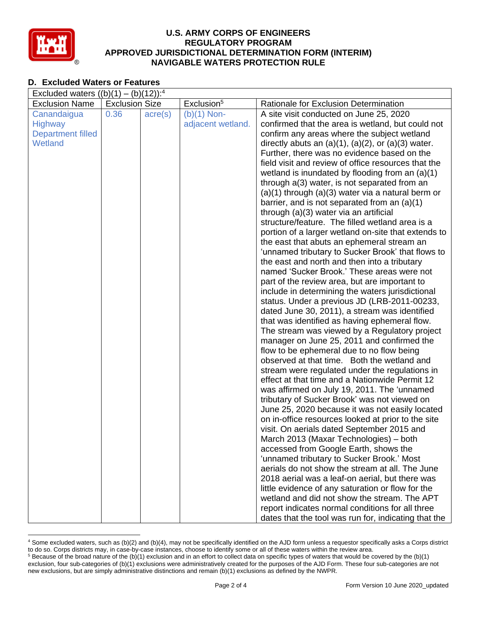

# **D. Excluded Waters or Features**

| Excluded waters $((b)(1) - (b)(12))$ : <sup>4</sup> |                       |                  |                        |                                                            |  |  |  |
|-----------------------------------------------------|-----------------------|------------------|------------------------|------------------------------------------------------------|--|--|--|
| <b>Exclusion Name</b>                               | <b>Exclusion Size</b> |                  | Exclusion <sup>5</sup> | Rationale for Exclusion Determination                      |  |  |  |
| Canandaigua                                         | 0.36                  | $\text{acre}(s)$ | $(b)(1)$ Non-          | A site visit conducted on June 25, 2020                    |  |  |  |
| <b>Highway</b>                                      |                       |                  | adjacent wetland.      | confirmed that the area is wetland, but could not          |  |  |  |
| <b>Department filled</b>                            |                       |                  |                        | confirm any areas where the subject wetland                |  |  |  |
| Wetland                                             |                       |                  |                        | directly abuts an $(a)(1)$ , $(a)(2)$ , or $(a)(3)$ water. |  |  |  |
|                                                     |                       |                  |                        | Further, there was no evidence based on the                |  |  |  |
|                                                     |                       |                  |                        | field visit and review of office resources that the        |  |  |  |
|                                                     |                       |                  |                        | wetland is inundated by flooding from an $(a)(1)$          |  |  |  |
|                                                     |                       |                  |                        | through a(3) water, is not separated from an               |  |  |  |
|                                                     |                       |                  |                        | $(a)(1)$ through $(a)(3)$ water via a natural berm or      |  |  |  |
|                                                     |                       |                  |                        | barrier, and is not separated from an $(a)(1)$             |  |  |  |
|                                                     |                       |                  |                        | through (a)(3) water via an artificial                     |  |  |  |
|                                                     |                       |                  |                        | structure/feature. The filled wetland area is a            |  |  |  |
|                                                     |                       |                  |                        | portion of a larger wetland on-site that extends to        |  |  |  |
|                                                     |                       |                  |                        | the east that abuts an ephemeral stream an                 |  |  |  |
|                                                     |                       |                  |                        | 'unnamed tributary to Sucker Brook' that flows to          |  |  |  |
|                                                     |                       |                  |                        | the east and north and then into a tributary               |  |  |  |
|                                                     |                       |                  |                        | named 'Sucker Brook.' These areas were not                 |  |  |  |
|                                                     |                       |                  |                        | part of the review area, but are important to              |  |  |  |
|                                                     |                       |                  |                        | include in determining the waters jurisdictional           |  |  |  |
|                                                     |                       |                  |                        | status. Under a previous JD (LRB-2011-00233,               |  |  |  |
|                                                     |                       |                  |                        | dated June 30, 2011), a stream was identified              |  |  |  |
|                                                     |                       |                  |                        | that was identified as having ephemeral flow.              |  |  |  |
|                                                     |                       |                  |                        | The stream was viewed by a Regulatory project              |  |  |  |
|                                                     |                       |                  |                        | manager on June 25, 2011 and confirmed the                 |  |  |  |
|                                                     |                       |                  |                        | flow to be ephemeral due to no flow being                  |  |  |  |
|                                                     |                       |                  |                        | observed at that time. Both the wetland and                |  |  |  |
|                                                     |                       |                  |                        | stream were regulated under the regulations in             |  |  |  |
|                                                     |                       |                  |                        | effect at that time and a Nationwide Permit 12             |  |  |  |
|                                                     |                       |                  |                        | was affirmed on July 19, 2011. The 'unnamed                |  |  |  |
|                                                     |                       |                  |                        | tributary of Sucker Brook' was not viewed on               |  |  |  |
|                                                     |                       |                  |                        | June 25, 2020 because it was not easily located            |  |  |  |
|                                                     |                       |                  |                        | on in-office resources looked at prior to the site         |  |  |  |
|                                                     |                       |                  |                        | visit. On aerials dated September 2015 and                 |  |  |  |
|                                                     |                       |                  |                        | March 2013 (Maxar Technologies) - both                     |  |  |  |
|                                                     |                       |                  |                        | accessed from Google Earth, shows the                      |  |  |  |
|                                                     |                       |                  |                        | 'unnamed tributary to Sucker Brook.' Most                  |  |  |  |
|                                                     |                       |                  |                        | aerials do not show the stream at all. The June            |  |  |  |
|                                                     |                       |                  |                        | 2018 aerial was a leaf-on aerial, but there was            |  |  |  |
|                                                     |                       |                  |                        | little evidence of any saturation or flow for the          |  |  |  |
|                                                     |                       |                  |                        | wetland and did not show the stream. The APT               |  |  |  |
|                                                     |                       |                  |                        | report indicates normal conditions for all three           |  |  |  |
|                                                     |                       |                  |                        | dates that the tool was run for, indicating that the       |  |  |  |

<sup>4</sup> Some excluded waters, such as (b)(2) and (b)(4), may not be specifically identified on the AJD form unless a requestor specifically asks a Corps district to do so. Corps districts may, in case-by-case instances, choose to identify some or all of these waters within the review area.  $5$  Because of the broad nature of the (b)(1) exclusion and in an effort to collect data on specific types of waters that would be covered by the (b)(1)

exclusion, four sub-categories of (b)(1) exclusions were administratively created for the purposes of the AJD Form. These four sub-categories are not new exclusions, but are simply administrative distinctions and remain (b)(1) exclusions as defined by the NWPR.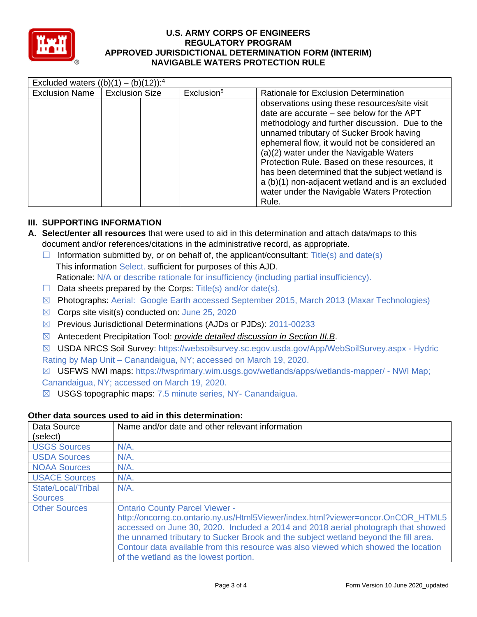

| Excluded waters $((b)(1) - (b)(12))$ : <sup>4</sup> |                       |                        |                                                                                                                                                                                                                                                                                                                                                                                                                                                                                                        |  |  |  |
|-----------------------------------------------------|-----------------------|------------------------|--------------------------------------------------------------------------------------------------------------------------------------------------------------------------------------------------------------------------------------------------------------------------------------------------------------------------------------------------------------------------------------------------------------------------------------------------------------------------------------------------------|--|--|--|
| <b>Exclusion Name</b>                               | <b>Exclusion Size</b> | Exclusion <sup>5</sup> | Rationale for Exclusion Determination                                                                                                                                                                                                                                                                                                                                                                                                                                                                  |  |  |  |
|                                                     |                       |                        | observations using these resources/site visit<br>date are accurate $-$ see below for the APT<br>methodology and further discussion. Due to the<br>unnamed tributary of Sucker Brook having<br>ephemeral flow, it would not be considered an<br>(a)(2) water under the Navigable Waters<br>Protection Rule. Based on these resources, it<br>has been determined that the subject wetland is<br>a (b)(1) non-adjacent wetland and is an excluded<br>water under the Navigable Waters Protection<br>Rule. |  |  |  |

# **III. SUPPORTING INFORMATION**

- **A. Select/enter all resources** that were used to aid in this determination and attach data/maps to this document and/or references/citations in the administrative record, as appropriate.
	- $\Box$  Information submitted by, or on behalf of, the applicant/consultant: Title(s) and date(s) This information Select. sufficient for purposes of this AJD. Rationale: N/A or describe rationale for insufficiency (including partial insufficiency).
	- $\Box$  Data sheets prepared by the Corps: Title(s) and/or date(s).
	- ☒ Photographs: Aerial: Google Earth accessed September 2015, March 2013 (Maxar Technologies)
	- $\boxtimes$  Corps site visit(s) conducted on: June 25, 2020
	- ☒ Previous Jurisdictional Determinations (AJDs or PJDs): 2011-00233
	- ☒ Antecedent Precipitation Tool: *provide detailed discussion in Section III.B*.
	- ☒ USDA NRCS Soil Survey: https://websoilsurvey.sc.egov.usda.gov/App/WebSoilSurvey.aspx Hydric
	- Rating by Map Unit Canandaigua, NY; accessed on March 19, 2020.

☒ USFWS NWI maps: https://fwsprimary.wim.usgs.gov/wetlands/apps/wetlands-mapper/ - NWI Map; Canandaigua, NY; accessed on March 19, 2020.

☒ USGS topographic maps: 7.5 minute series, NY- Canandaigua.

### **Other data sources used to aid in this determination:**

| Data Source          | Name and/or date and other relevant information                                     |
|----------------------|-------------------------------------------------------------------------------------|
| (select)             |                                                                                     |
| <b>USGS Sources</b>  | $N/A$ .                                                                             |
| <b>USDA Sources</b>  | $N/A$ .                                                                             |
| <b>NOAA Sources</b>  | $N/A$ .                                                                             |
| <b>USACE Sources</b> | $N/A$ .                                                                             |
| State/Local/Tribal   | $N/A$ .                                                                             |
| <b>Sources</b>       |                                                                                     |
| <b>Other Sources</b> | <b>Ontario County Parcel Viewer -</b>                                               |
|                      | http://oncorng.co.ontario.ny.us/Html5Viewer/index.html?viewer=oncor.OnCOR_HTML5     |
|                      | accessed on June 30, 2020. Included a 2014 and 2018 aerial photograph that showed   |
|                      | the unnamed tributary to Sucker Brook and the subject wetland beyond the fill area. |
|                      | Contour data available from this resource was also viewed which showed the location |
|                      | of the wetland as the lowest portion.                                               |